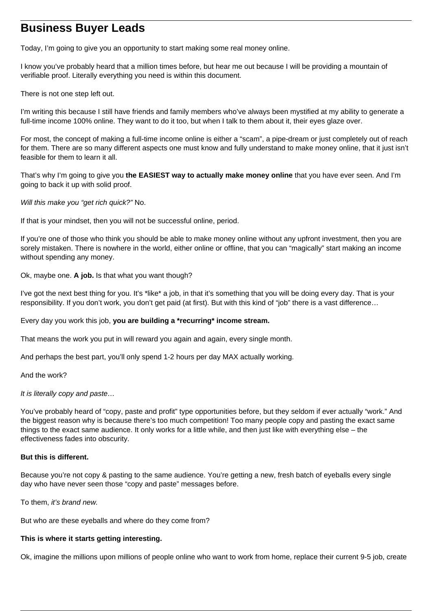# **Business Buyer Leads**

Today, I'm going to give you an opportunity to start making some real money online.

I know you've probably heard that a million times before, but hear me out because I will be providing a mountain of verifiable proof. Literally everything you need is within this document.

There is not one step left out.

I'm writing this because I still have friends and family members who've always been mystified at my ability to generate a full-time income 100% online. They want to do it too, but when I talk to them about it, their eyes glaze over.

For most, the concept of making a full-time income online is either a "scam", a pipe-dream or just completely out of reach for them. There are so many different aspects one must know and fully understand to make money online, that it just isn't feasible for them to learn it all.

That's why I'm going to give you **the EASIEST way to actually make money online** that you have ever seen. And I'm going to back it up with solid proof.

Will this make you "get rich quick?" No.

If that is your mindset, then you will not be successful online, period.

If you're one of those who think you should be able to make money online without any upfront investment, then you are sorely mistaken. There is nowhere in the world, either online or offline, that you can "magically" start making an income without spending any money.

Ok, maybe one. **A job.** Is that what you want though?

I've got the next best thing for you. It's \*like\* a job, in that it's something that you will be doing every day. That is your responsibility. If you don't work, you don't get paid (at first). But with this kind of "job" there is a vast difference…

Every day you work this job, **you are building a \*recurring\* income stream.**

That means the work you put in will reward you again and again, every single month.

And perhaps the best part, you'll only spend 1-2 hours per day MAX actually working.

And the work?

It is literally copy and paste…

You've probably heard of "copy, paste and profit" type opportunities before, but they seldom if ever actually "work." And the biggest reason why is because there's too much competition! Too many people copy and pasting the exact same things to the exact same audience. It only works for a little while, and then just like with everything else – the effectiveness fades into obscurity.

# **But this is different.**

Because you're not copy & pasting to the same audience. You're getting a new, fresh batch of eyeballs every single day who have never seen those "copy and paste" messages before.

To them, it's brand new.

But who are these eyeballs and where do they come from?

# **This is where it starts getting interesting.**

Ok, imagine the millions upon millions of people online who want to work from home, replace their current 9-5 job, create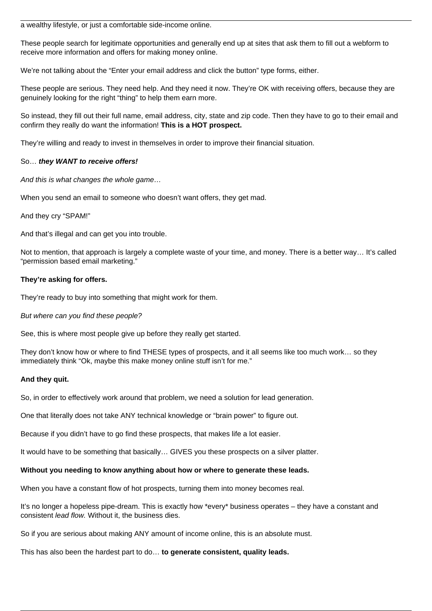a wealthy lifestyle, or just a comfortable side-income online.

These people search for legitimate opportunities and generally end up at sites that ask them to fill out a webform to receive more information and offers for making money online.

We're not talking about the "Enter your email address and click the button" type forms, either.

These people are serious. They need help. And they need it now. They're OK with receiving offers, because they are genuinely looking for the right "thing" to help them earn more.

So instead, they fill out their full name, email address, city, state and zip code. Then they have to go to their email and confirm they really do want the information! **This is a HOT prospect.**

They're willing and ready to invest in themselves in order to improve their financial situation.

### So… **they WANT to receive offers!**

And this is what changes the whole game…

When you send an email to someone who doesn't want offers, they get mad.

And they cry "SPAM!"

And that's illegal and can get you into trouble.

Not to mention, that approach is largely a complete waste of your time, and money. There is a better way… It's called "permission based email marketing."

### **They're asking for offers.**

They're ready to buy into something that might work for them.

But where can you find these people?

See, this is where most people give up before they really get started.

They don't know how or where to find THESE types of prospects, and it all seems like too much work… so they immediately think "Ok, maybe this make money online stuff isn't for me."

#### **And they quit.**

So, in order to effectively work around that problem, we need a solution for lead generation.

One that literally does not take ANY technical knowledge or "brain power" to figure out.

Because if you didn't have to go find these prospects, that makes life a lot easier.

It would have to be something that basically… GIVES you these prospects on a silver platter.

# **Without you needing to know anything about how or where to generate these leads.**

When you have a constant flow of hot prospects, turning them into money becomes real.

It's no longer a hopeless pipe-dream. This is exactly how \*every\* business operates – they have a constant and consistent lead flow. Without it, the business dies.

So if you are serious about making ANY amount of income online, this is an absolute must.

This has also been the hardest part to do… **to generate consistent, quality leads.**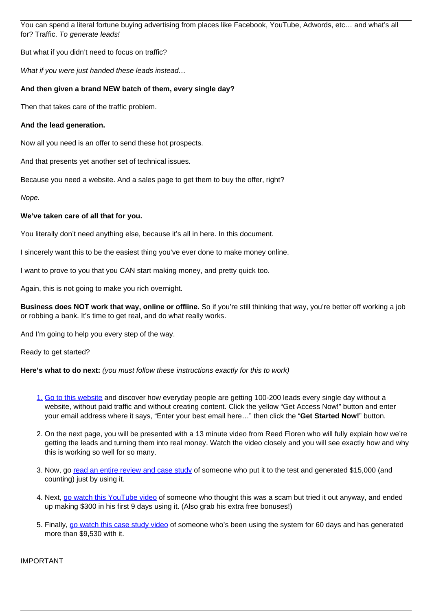You can spend a literal fortune buying advertising from places like Facebook, YouTube, Adwords, etc… and what's all for? Traffic. To generate leads!

But what if you didn't need to focus on traffic?

What if you were just handed these leads instead...

# **And then given a brand NEW batch of them, every single day?**

Then that takes care of the traffic problem.

### **And the lead generation.**

Now all you need is an offer to send these hot prospects.

And that presents yet another set of technical issues.

Because you need a website. And a sales page to get them to buy the offer, right?

Nope.

### **We've taken care of all that for you.**

You literally don't need anything else, because it's all in here. In this document.

I sincerely want this to be the easiest thing you've ever done to make money online.

I want to prove to you that you CAN start making money, and pretty quick too.

Again, this is not going to make you rich overnight.

**Business does NOT work that way, online or offline.** So if you're still thinking that way, you're better off working a job or robbing a bank. It's time to get real, and do what really works.

And I'm going to help you every step of the way.

Ready to get started?

**Here's what to do next:** *(you must follow these instructions exactly for this to work)* 

- 1. [Go to this website](https://www.getusleads.com/?rid=25177&src=bbleadswebby) and discover how everyday people are getting 100-200 leads every single day without a website, without paid traffic and without creating content. Click the yellow "Get Access Now!" button and enter your email address where it says, "Enter your best email here…" then click the "**Get Started Now!**" button.
- 2. On the next page, you will be presented with a 13 minute video from Reed Floren who will fully explain how we're getting the leads and turning them into real money. Watch the video closely and you will see exactly how and why this is working so well for so many.
- 3. Now, go [read an entire review and case study](https://90minutesuccess.com/myleadgensecret-review/?rid=25177&src=bbleadsreview) of someone who put it to the test and generated \$15,000 (and counting) just by using it.
- 4. Next, [go watch this YouTube video](https://instantbuyertraffic.com/mlgs/?id=https://www.myleadgensecret.com/?rid=25177&src=bbleadsbonuses) of someone who thought this was a scam but tried it out anyway, and ended up making \$300 in his first 9 days using it. (Also grab his extra free bonuses!)
- 5. Finally, [go watch this case study video](https://dailysecretleads.com/info/?rid=25177&src=bbleadsdsl) of someone who's been using the system for 60 days and has generated more than \$9,530 with it.

IMPORTANT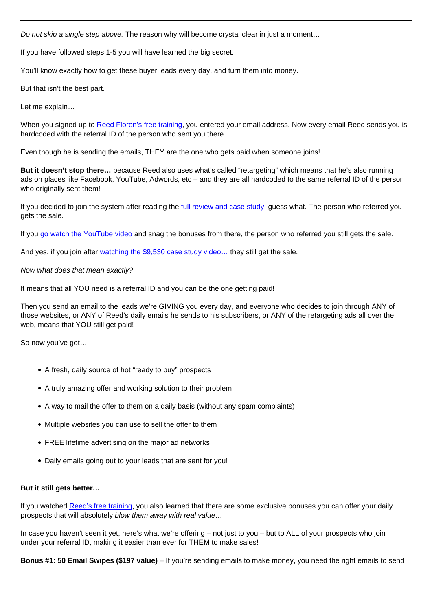Do not skip a single step above. The reason why will become crystal clear in just a moment...

If you have followed steps 1-5 you will have learned the big secret.

You'll know exactly how to get these buyer leads every day, and turn them into money.

But that isn't the best part.

Let me explain…

When you signed up to [Reed Floren's free training](https://www.getusleads.com/?rid=25177&src=bbleadswebby), you entered your email address. Now every email Reed sends you is hardcoded with the referral ID of the person who sent you there.

Even though he is sending the emails, THEY are the one who gets paid when someone joins!

**But it doesn't stop there…** because Reed also uses what's called "retargeting" which means that he's also running ads on places like Facebook, YouTube, Adwords, etc – and they are all hardcoded to the same referral ID of the person who originally sent them!

If you decided to join the system after reading the [full review and case study](https://90minutesuccess.com/myleadgensecret-review/?rid=25177&src=bbleadsreview), guess what. The person who referred you gets the sale.

If you [go watch the YouTube video](https://instantbuyertraffic.com/mlgs/?id=https://www.myleadgensecret.com/?rid=25177&src=bbleadsbonuses) and snag the bonuses from there, the person who referred you still gets the sale.

And yes, if you join after [watching the \\$9,530 case study video…](https://dailysecretleads.com/info/?rid=25177&src=bbleadsdsl) they still get the sale.

### Now what does that mean exactly?

It means that all YOU need is a referral ID and you can be the one getting paid!

Then you send an email to the leads we're GIVING you every day, and everyone who decides to join through ANY of those websites, or ANY of Reed's daily emails he sends to his subscribers, or ANY of the retargeting ads all over the web, means that YOU still get paid!

So now you've got…

- A fresh, daily source of hot "ready to buy" prospects
- A truly amazing offer and working solution to their problem
- A way to mail the offer to them on a daily basis (without any spam complaints)
- Multiple websites you can use to sell the offer to them
- FREE lifetime advertising on the major ad networks
- Daily emails going out to your leads that are sent for you!

#### **But it still gets better…**

If you watched [Reed's free training](https://www.getusleads.com/?rid=25177&src=bbleadswebby), you also learned that there are some exclusive bonuses you can offer your daily prospects that will absolutely blow them away with real value…

In case you haven't seen it yet, here's what we're offering – not just to you – but to ALL of your prospects who join under your referral ID, making it easier than ever for THEM to make sales!

**Bonus #1: 50 Email Swipes (\$197 value)** – If you're sending emails to make money, you need the right emails to send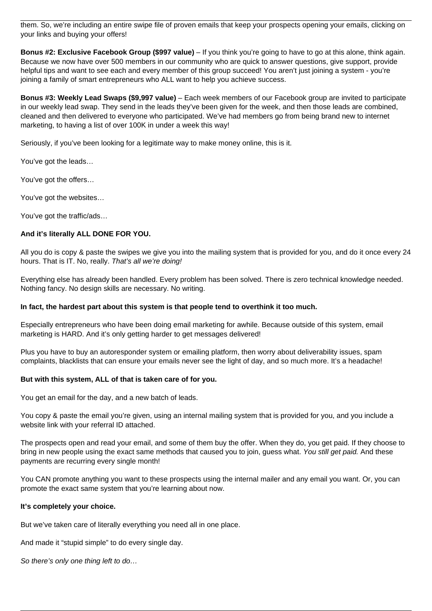them. So, we're including an entire swipe file of proven emails that keep your prospects opening your emails, clicking on your links and buying your offers!

**Bonus #2: Exclusive Facebook Group (\$997 value)** – If you think you're going to have to go at this alone, think again. Because we now have over 500 members in our community who are quick to answer questions, give support, provide helpful tips and want to see each and every member of this group succeed! You aren't just joining a system - you're joining a family of smart entrepreneurs who ALL want to help you achieve success.

**Bonus #3: Weekly Lead Swaps (\$9,997 value)** – Each week members of our Facebook group are invited to participate in our weekly lead swap. They send in the leads they've been given for the week, and then those leads are combined, cleaned and then delivered to everyone who participated. We've had members go from being brand new to internet marketing, to having a list of over 100K in under a week this way!

Seriously, if you've been looking for a legitimate way to make money online, this is it.

You've got the leads…

You've got the offers…

You've got the websites…

You've got the traffic/ads…

# **And it's literally ALL DONE FOR YOU.**

All you do is copy & paste the swipes we give you into the mailing system that is provided for you, and do it once every 24 hours. That is IT. No, really. That's all we're doing!

Everything else has already been handled. Every problem has been solved. There is zero technical knowledge needed. Nothing fancy. No design skills are necessary. No writing.

# **In fact, the hardest part about this system is that people tend to overthink it too much.**

Especially entrepreneurs who have been doing email marketing for awhile. Because outside of this system, email marketing is HARD. And it's only getting harder to get messages delivered!

Plus you have to buy an autoresponder system or emailing platform, then worry about deliverability issues, spam complaints, blacklists that can ensure your emails never see the light of day, and so much more. It's a headache!

# **But with this system, ALL of that is taken care of for you.**

You get an email for the day, and a new batch of leads.

You copy & paste the email you're given, using an internal mailing system that is provided for you, and you include a website link with your referral ID attached.

The prospects open and read your email, and some of them buy the offer. When they do, you get paid. If they choose to bring in new people using the exact same methods that caused you to join, guess what. You still get paid. And these payments are recurring every single month!

You CAN promote anything you want to these prospects using the internal mailer and any email you want. Or, you can promote the exact same system that you're learning about now.

#### **It's completely your choice.**

But we've taken care of literally everything you need all in one place.

And made it "stupid simple" to do every single day.

So there's only one thing left to do…